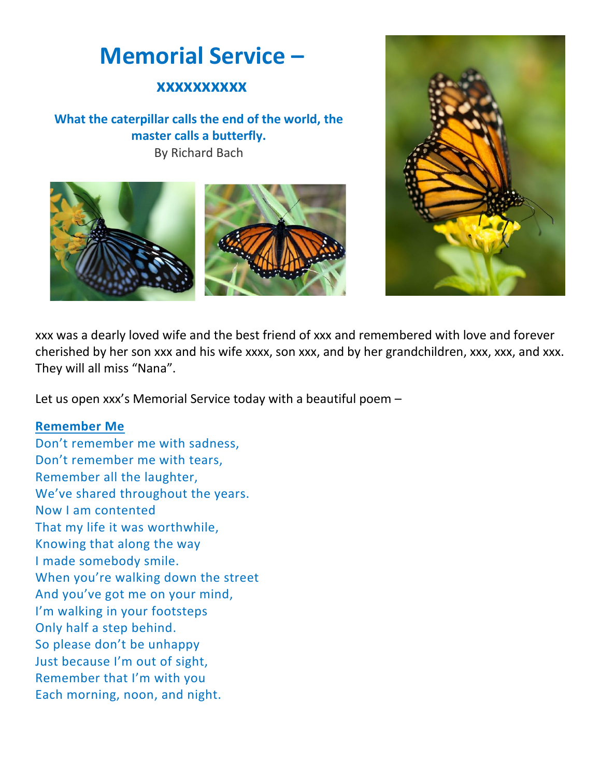# **Memorial Service –**

## **xxxxxxxxxx**

## **What the caterpillar calls the end of the world, the master calls a butterfly.** By Richard Bach





xxx was a dearly loved wife and the best friend of xxx and remembered with love and forever cherished by her son xxx and his wife xxxx, son xxx, and by her grandchildren, xxx, xxx, and xxx. They will all miss "Nana".

Let us open xxx's Memorial Service today with a beautiful poem –

#### **Remember Me**

Don't remember me with sadness, Don't remember me with tears, Remember all the laughter, We've shared throughout the years. Now I am contented That my life it was worthwhile, Knowing that along the way I made somebody smile. When you're walking down the street And you've got me on your mind, I'm walking in your footsteps Only half a step behind. So please don't be unhappy Just because I'm out of sight, Remember that I'm with you Each morning, noon, and night.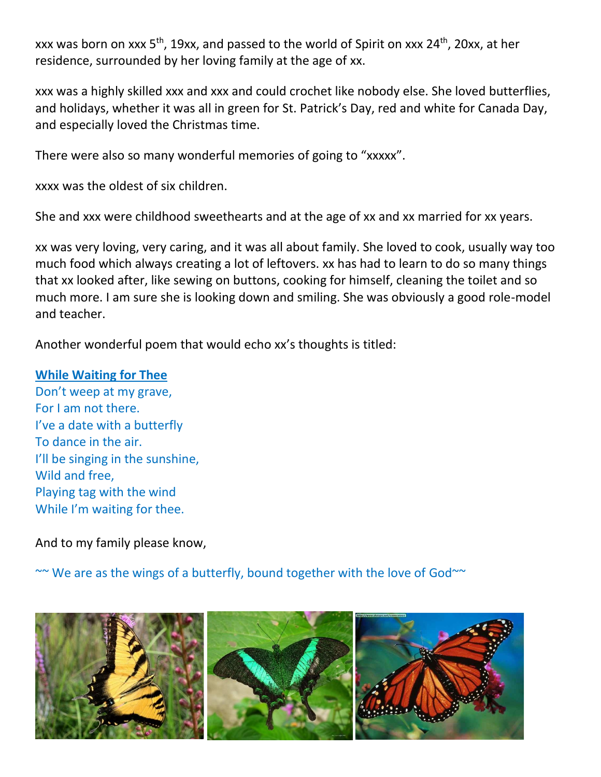xxx was born on xxx 5<sup>th</sup>, 19xx, and passed to the world of Spirit on xxx 24<sup>th</sup>, 20xx, at her residence, surrounded by her loving family at the age of xx.

xxx was a highly skilled xxx and xxx and could crochet like nobody else. She loved butterflies, and holidays, whether it was all in green for St. Patrick's Day, red and white for Canada Day, and especially loved the Christmas time.

There were also so many wonderful memories of going to "xxxxx".

xxxx was the oldest of six children.

She and xxx were childhood sweethearts and at the age of xx and xx married for xx years.

xx was very loving, very caring, and it was all about family. She loved to cook, usually way too much food which always creating a lot of leftovers. xx has had to learn to do so many things that xx looked after, like sewing on buttons, cooking for himself, cleaning the toilet and so much more. I am sure she is looking down and smiling. She was obviously a good role-model and teacher.

Another wonderful poem that would echo xx's thoughts is titled:

#### **While Waiting for Thee**

Don't weep at my grave, For I am not there. I've a date with a butterfly To dance in the air. I'll be singing in the sunshine, Wild and free, Playing tag with the wind While I'm waiting for thee.

And to my family please know,

 $\sim$  We are as the wings of a butterfly, bound together with the love of God $\sim$ 

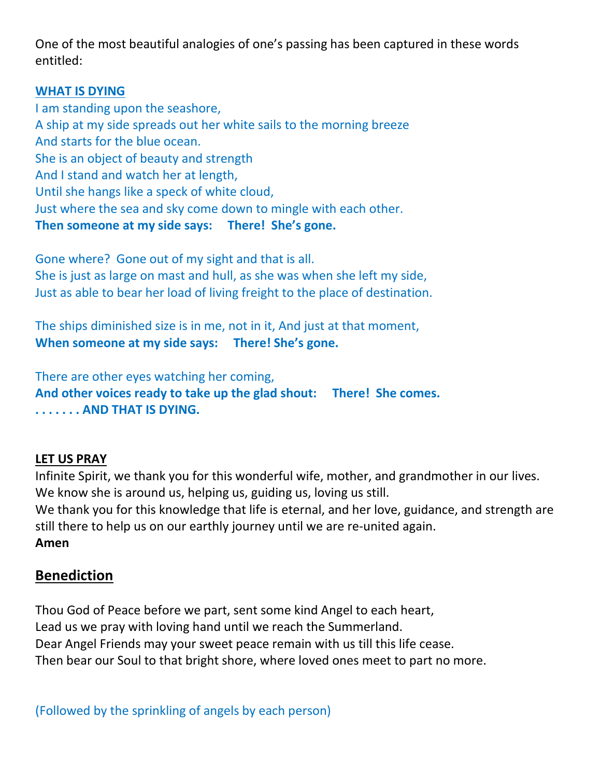One of the most beautiful analogies of one's passing has been captured in these words entitled:

## **WHAT IS DYING**

I am standing upon the seashore, A ship at my side spreads out her white sails to the morning breeze And starts for the blue ocean. She is an object of beauty and strength And I stand and watch her at length, Until she hangs like a speck of white cloud, Just where the sea and sky come down to mingle with each other. **Then someone at my side says: There! She's gone.**

Gone where? Gone out of my sight and that is all. She is just as large on mast and hull, as she was when she left my side, Just as able to bear her load of living freight to the place of destination.

The ships diminished size is in me, not in it, And just at that moment, **When someone at my side says: There! She's gone.**

There are other eyes watching her coming, **And other voices ready to take up the glad shout: There! She comes. . . . . . . . AND THAT IS DYING.**

#### **LET US PRAY**

Infinite Spirit, we thank you for this wonderful wife, mother, and grandmother in our lives. We know she is around us, helping us, guiding us, loving us still. We thank you for this knowledge that life is eternal, and her love, guidance, and strength are still there to help us on our earthly journey until we are re-united again. **Amen**

## **Benediction**

Thou God of Peace before we part, sent some kind Angel to each heart, Lead us we pray with loving hand until we reach the Summerland. Dear Angel Friends may your sweet peace remain with us till this life cease. Then bear our Soul to that bright shore, where loved ones meet to part no more.

(Followed by the sprinkling of angels by each person)